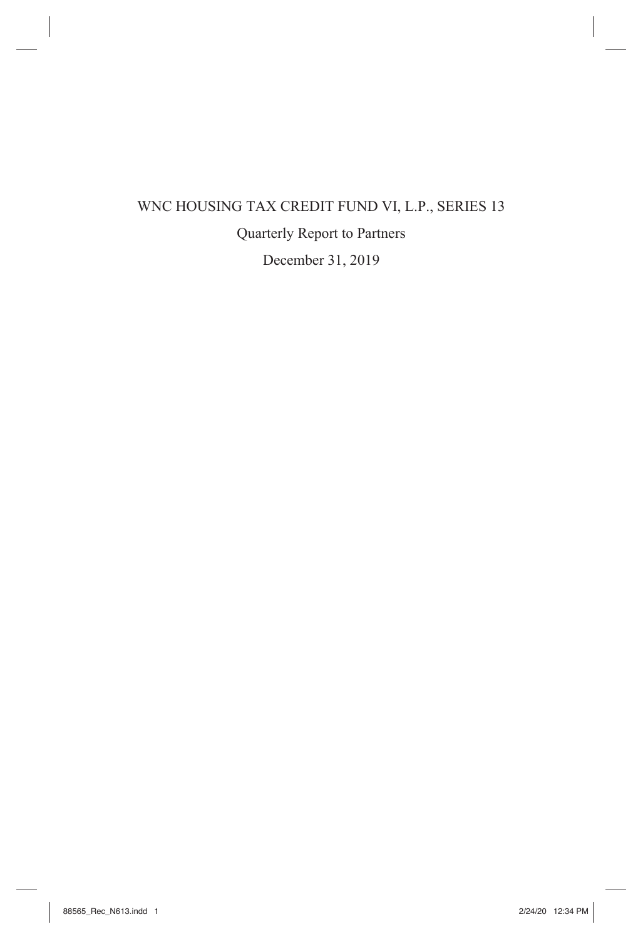# WNC HOUSING TAX CREDIT FUND VI, L.P., SERIES 13

# Quarterly Report to Partners

December 31, 2019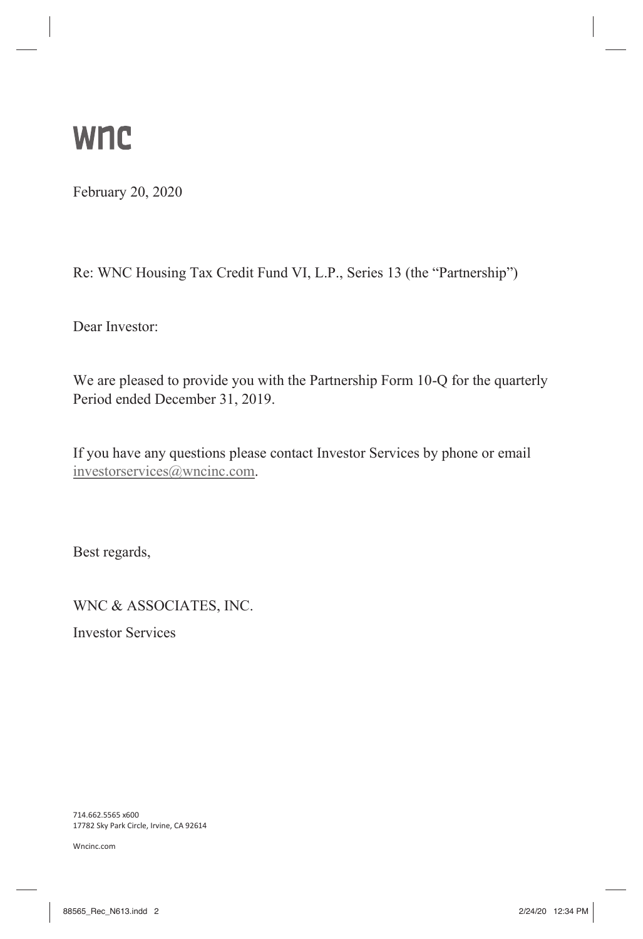# **WNC**

February 20, 2020

Re: WNC Housing Tax Credit Fund VI, L.P., Series 13 (the "Partnership")

Dear Investor:

We are pleased to provide you with the Partnership Form 10-Q for the quarterly Period ended December 31, 2019.

If you have any questions please contact Investor Services by phone or email investorservices@wncinc.com.

Best regards,

WNC & ASSOCIATES, INC.

Investor Services

714.662.5565 x600 17782 Sky Park Circle, Irvine, CA 92614

Wncinc.com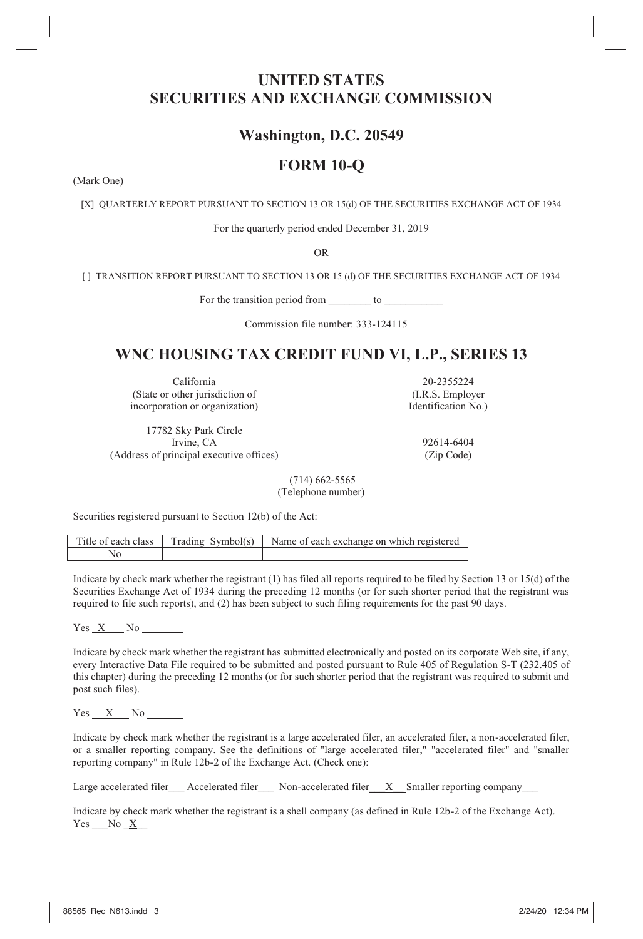# **UNITED STATES SECURITIES AND EXCHANGE COMMISSION**

# **Washington, D.C. 20549**

# **FORM 10-Q**

(Mark One)

[X] QUARTERLY REPORT PURSUANT TO SECTION 13 OR 15(d) OF THE SECURITIES EXCHANGE ACT OF 1934

For the quarterly period ended December 31, 2019

OR

[ ] TRANSITION REPORT PURSUANT TO SECTION 13 OR 15 (d) OF THE SECURITIES EXCHANGE ACT OF 1934

For the transition period from \_\_\_\_\_\_\_\_ to \_\_\_\_\_\_\_\_\_\_\_

Commission file number: 333-124115

# **WNC HOUSING TAX CREDIT FUND VI, L.P., SERIES 13**

California 20-2355224 (State or other jurisdiction of (I.R.S. Employer incorporation or organization) Identification No.)

17782 Sky Park Circle (Address of principal executive offices) (Zip Code)

92614-6404

 (714) 662-5565 (Telephone number)

Securities registered pursuant to Section 12(b) of the Act:

|  | Title of each class Trading Symbol(s) Name of each exchange on which registered |
|--|---------------------------------------------------------------------------------|
|  |                                                                                 |

Indicate by check mark whether the registrant (1) has filed all reports required to be filed by Section 13 or 15(d) of the Securities Exchange Act of 1934 during the preceding 12 months (or for such shorter period that the registrant was required to file such reports), and (2) has been subject to such filing requirements for the past 90 days.

Yes X No

Indicate by check mark whether the registrant has submitted electronically and posted on its corporate Web site, if any, every Interactive Data File required to be submitted and posted pursuant to Rule 405 of Regulation S-T (232.405 of this chapter) during the preceding 12 months (or for such shorter period that the registrant was required to submit and post such files).

Yes X No

Indicate by check mark whether the registrant is a large accelerated filer, an accelerated filer, a non-accelerated filer, or a smaller reporting company. See the definitions of "large accelerated filer," "accelerated filer" and "smaller reporting company" in Rule 12b-2 of the Exchange Act. (Check one):

Large accelerated filer\_\_\_ Accelerated filer\_\_\_ Non-accelerated filer\_\_\_X\_\_ Smaller reporting company\_

Indicate by check mark whether the registrant is a shell company (as defined in Rule 12b-2 of the Exchange Act).  $Yes$   $No$   $X$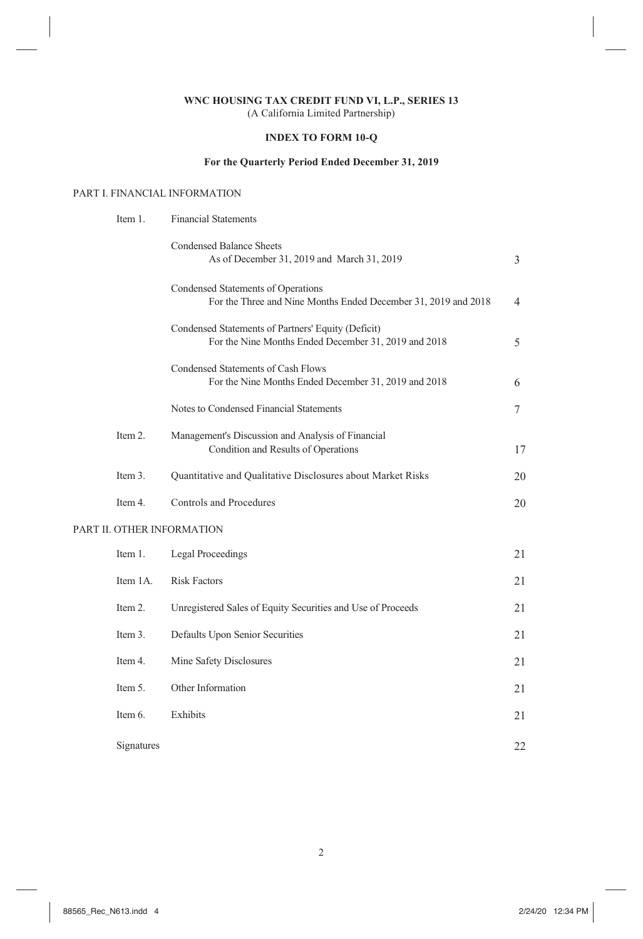# **INDEX TO FORM 10-Q**

# **For the Quarterly Period Ended December 31, 2019**

# PART I. FINANCIAL INFORMATION

| Item 1.    | <b>Financial Statements</b>                                                                                |    |
|------------|------------------------------------------------------------------------------------------------------------|----|
|            | <b>Condensed Balance Sheets</b><br>As of December 31, 2019 and March 31, 2019                              | 3  |
|            | Condensed Statements of Operations<br>For the Three and Nine Months Ended December 31, 2019 and 2018       | 4  |
|            | Condensed Statements of Partners' Equity (Deficit)<br>For the Nine Months Ended December 31, 2019 and 2018 | 5  |
|            | Condensed Statements of Cash Flows<br>For the Nine Months Ended December 31, 2019 and 2018                 | 6  |
|            | Notes to Condensed Financial Statements                                                                    | 7  |
| Item 2.    | Management's Discussion and Analysis of Financial<br>Condition and Results of Operations                   | 17 |
| Item 3.    | Quantitative and Qualitative Disclosures about Market Risks                                                | 20 |
| Item 4.    | Controls and Procedures                                                                                    | 20 |
|            | PART II. OTHER INFORMATION                                                                                 |    |
| Item 1.    | <b>Legal Proceedings</b>                                                                                   | 21 |
| Item 1A.   | <b>Risk Factors</b>                                                                                        | 21 |
| Item 2.    | Unregistered Sales of Equity Securities and Use of Proceeds                                                | 21 |
| Item 3.    | Defaults Upon Senior Securities                                                                            | 21 |
| Item 4.    | Mine Safety Disclosures                                                                                    | 21 |
| Item 5.    | Other Information                                                                                          | 21 |
| Item 6.    | Exhibits                                                                                                   | 21 |
| Signatures |                                                                                                            | 22 |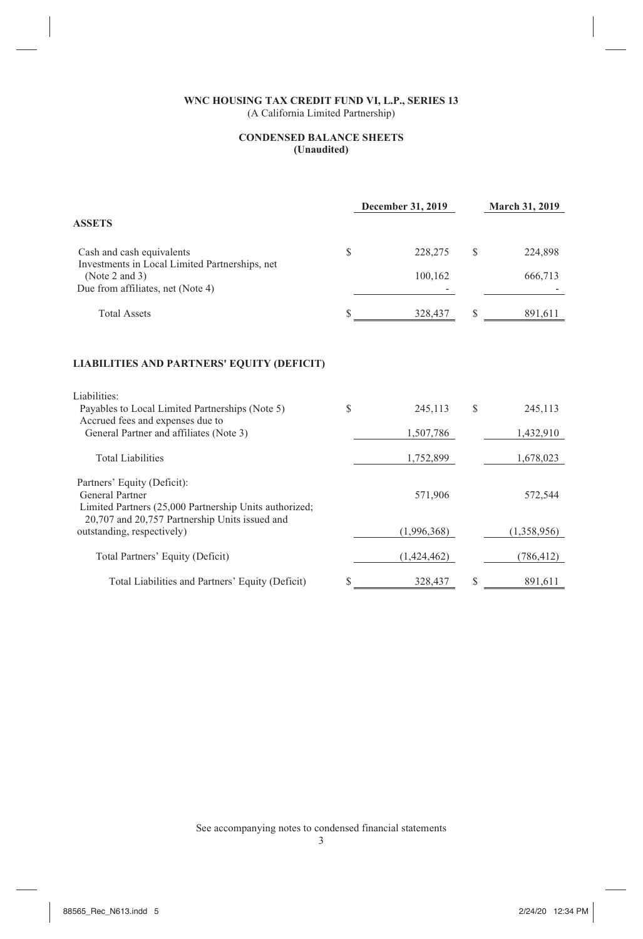# **CONDENSED BALANCE SHEETS (Unaudited)**

|                                                                                                                 |   | December 31, 2019 |   | March 31, 2019 |
|-----------------------------------------------------------------------------------------------------------------|---|-------------------|---|----------------|
| <b>ASSETS</b>                                                                                                   |   |                   |   |                |
| Cash and cash equivalents<br>Investments in Local Limited Partnerships, net                                     | S | 228,275           | S | 224,898        |
| (Note 2 and 3)<br>Due from affiliates, net (Note 4)                                                             |   | 100,162           |   | 666,713        |
| <b>Total Assets</b>                                                                                             | S | 328,437           | S | 891,611        |
| LIABILITIES AND PARTNERS' EQUITY (DEFICIT)                                                                      |   |                   |   |                |
| Liabilities:<br>Payables to Local Limited Partnerships (Note 5)                                                 | S | 245,113           | S | 245,113        |
| Accrued fees and expenses due to<br>General Partner and affiliates (Note 3)                                     |   | 1,507,786         |   | 1,432,910      |
| <b>Total Liabilities</b>                                                                                        |   | 1,752,899         |   | 1,678,023      |
| Partners' Equity (Deficit):<br><b>General Partner</b><br>Limited Partners (25,000 Partnership Units authorized; |   | 571,906           |   | 572,544        |
| 20,707 and 20,757 Partnership Units issued and<br>outstanding, respectively)                                    |   | (1,996,368)       |   | (1,358,956)    |
| Total Partners' Equity (Deficit)                                                                                |   | (1,424,462)       |   | (786, 412)     |
| Total Liabilities and Partners' Equity (Deficit)                                                                | S | 328,437           | S | 891,611        |

See accompanying notes to condensed financial statements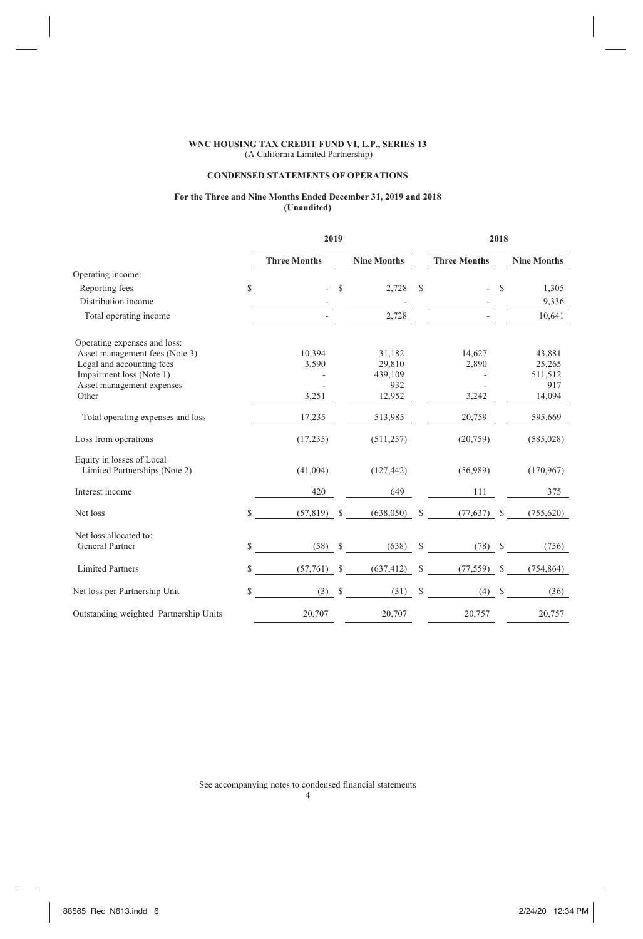#### **CONDENSED STATEMENTS OF OPERATIONS**

#### **For the Three and Nine Months Ended December 31, 2019 and 2018 (Unaudited)**

|                                                            |    | 2019                |   |                    | 2018 |                                            |   |                    |
|------------------------------------------------------------|----|---------------------|---|--------------------|------|--------------------------------------------|---|--------------------|
|                                                            |    | <b>Three Months</b> |   | <b>Nine Months</b> |      | <b>Three Months</b>                        |   | <b>Nine Months</b> |
| Operating income:                                          |    |                     |   |                    |      |                                            |   |                    |
| Reporting fees                                             | \$ |                     | S | 2,728              | S    |                                            | S | 1,305              |
| Distribution income                                        |    |                     |   |                    |      |                                            |   | 9,336              |
| Total operating income                                     |    |                     |   | 2.728              |      |                                            |   | 10,641             |
| Operating expenses and loss:                               |    |                     |   |                    |      |                                            |   |                    |
| Asset management fees (Note 3)                             |    | 10,394              |   | 31,182             |      | 14,627                                     |   | 43,881             |
| Legal and accounting fees                                  |    | 3,590               |   | 29,810             |      | 2,890                                      |   | 25,265             |
| Impairment loss (Note 1)<br>Asset management expenses      |    |                     |   | 439,109<br>932     |      |                                            |   | 511,512<br>917     |
| Other                                                      |    | 3,251               |   | 12,952             |      | 3,242                                      |   | 14,094             |
| Total operating expenses and loss                          |    | 17,235              |   | 513,985            |      | 20,759                                     |   | 595,669            |
| Loss from operations                                       |    | (17,235)            |   | (511, 257)         |      | (20,759)                                   |   | (585, 028)         |
| Equity in losses of Local<br>Limited Partnerships (Note 2) |    | (41,004)            |   | (127, 442)         |      | (56,989)                                   |   | (170,967)          |
| Interest income                                            |    | 420                 |   | 649                |      | 111                                        |   | 375                |
| Net loss                                                   | \$ |                     |   |                    |      | $(57,819)$ \$ $(638,050)$ \$ $(77,637)$ \$ |   | (755,620)          |
| Net loss allocated to:<br>General Partner                  | S  | $(58)$ \$           |   | (638)              | S    | $(78)$ \$                                  |   | (756)              |
| <b>Limited Partners</b>                                    | S  | $(57,761)$ \$       |   | (637, 412)         | S    | $(77,559)$ \$                              |   | (754, 864)         |
| Net loss per Partnership Unit                              | \$ | $(3)$ \$            |   | $(31)$ \$          |      | $(4)$ \$                                   |   | (36)               |
| Outstanding weighted Partnership Units                     |    | 20,707              |   | 20,707             |      | 20,757                                     |   | 20,757             |

See accompanying notes to condensed financial statements

4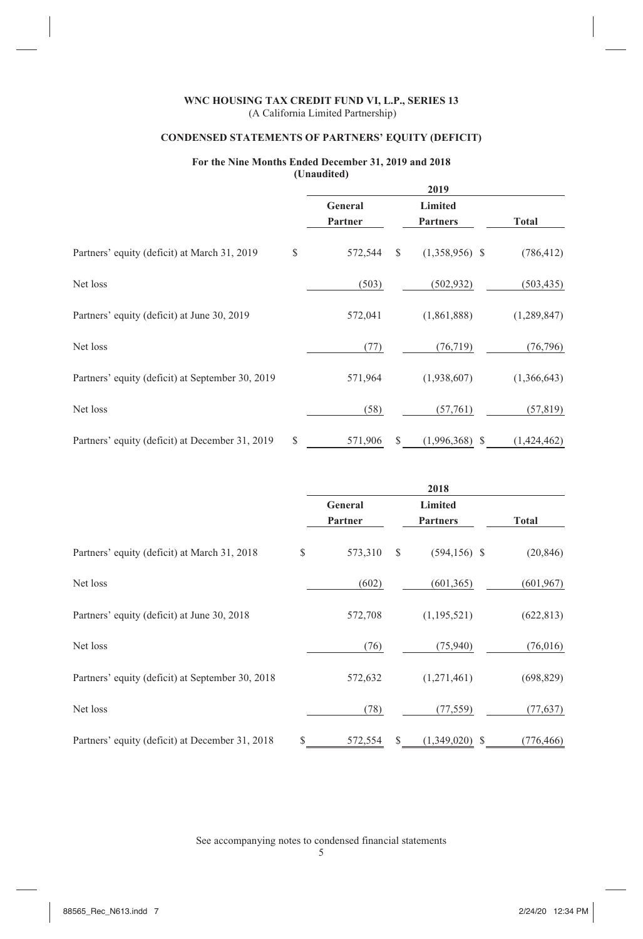# **CONDENSED STATEMENTS OF PARTNERS' EQUITY (DEFICIT)**

# **For the Nine Months Ended December 31, 2019 and 2018 (Unaudited)**

|                                                       | 2019               |                            |              |  |  |
|-------------------------------------------------------|--------------------|----------------------------|--------------|--|--|
|                                                       | General<br>Partner | Limited<br><b>Partners</b> | <b>Total</b> |  |  |
| \$<br>Partners' equity (deficit) at March 31, 2019    | 572,544            | S<br>$(1,358,956)$ \$      | (786, 412)   |  |  |
| Net loss                                              | (503)              | (502, 932)                 | (503, 435)   |  |  |
| Partners' equity (deficit) at June 30, 2019           | 572,041            | (1,861,888)                | (1,289,847)  |  |  |
| Net loss                                              | (77)               | (76, 719)                  | (76, 796)    |  |  |
| Partners' equity (deficit) at September 30, 2019      | 571,964            | (1,938,607)                | (1,366,643)  |  |  |
| Net loss                                              | (58)               | (57,761)                   | (57, 819)    |  |  |
| \$<br>Partners' equity (deficit) at December 31, 2019 | 571,906            | $(1,996,368)$ \$<br>S      | (1,424,462)  |  |  |

|                                                  |   |                    |    | 2018                       |              |
|--------------------------------------------------|---|--------------------|----|----------------------------|--------------|
|                                                  |   | General<br>Partner |    | Limited<br><b>Partners</b> | <b>Total</b> |
| Partners' equity (deficit) at March 31, 2018     | S | 573,310            | S  | $(594, 156)$ \$            | (20, 846)    |
| Net loss                                         |   | (602)              |    | (601, 365)                 | (601, 967)   |
| Partners' equity (deficit) at June 30, 2018      |   | 572,708            |    | (1,195,521)                | (622, 813)   |
| Net loss                                         |   | (76)               |    | (75, 940)                  | (76, 016)    |
| Partners' equity (deficit) at September 30, 2018 |   | 572,632            |    | (1,271,461)                | (698, 829)   |
| Net loss                                         |   | (78)               |    | (77, 559)                  | (77, 637)    |
| Partners' equity (deficit) at December 31, 2018  | S | 572,554            | S. | (1,349,020)<br>S           | (776, 466)   |

See accompanying notes to condensed financial statements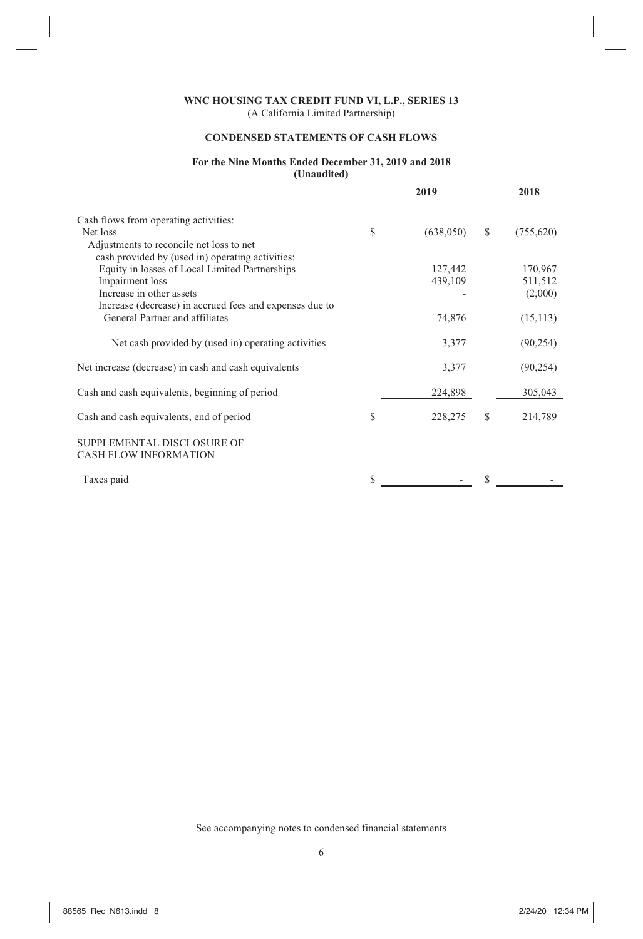# **CONDENSED STATEMENTS OF CASH FLOWS**

#### **For the Nine Months Ended December 31, 2019 and 2018 (Unaudited)**

|                                                                                              |   | 2019      |   | 2018       |
|----------------------------------------------------------------------------------------------|---|-----------|---|------------|
| Cash flows from operating activities:<br>Net loss                                            | S | (638,050) | S | (755, 620) |
| Adjustments to reconcile net loss to net<br>cash provided by (used in) operating activities: |   |           |   |            |
| Equity in losses of Local Limited Partnerships                                               |   | 127,442   |   | 170,967    |
| Impairment loss                                                                              |   | 439,109   |   | 511,512    |
| Increase in other assets                                                                     |   |           |   | (2,000)    |
| Increase (decrease) in accrued fees and expenses due to                                      |   |           |   |            |
| General Partner and affiliates                                                               |   | 74,876    |   | (15, 113)  |
|                                                                                              |   |           |   |            |
| Net cash provided by (used in) operating activities                                          |   | 3,377     |   | (90, 254)  |
| Net increase (decrease) in cash and cash equivalents                                         |   | 3,377     |   | (90, 254)  |
| Cash and cash equivalents, beginning of period                                               |   | 224,898   |   | 305,043    |
| Cash and cash equivalents, end of period                                                     | S | 228,275   | S | 214,789    |
| SUPPLEMENTAL DISCLOSURE OF<br><b>CASH FLOW INFORMATION</b>                                   |   |           |   |            |
| Taxes paid                                                                                   | S |           |   |            |
|                                                                                              |   |           |   |            |

See accompanying notes to condensed financial statements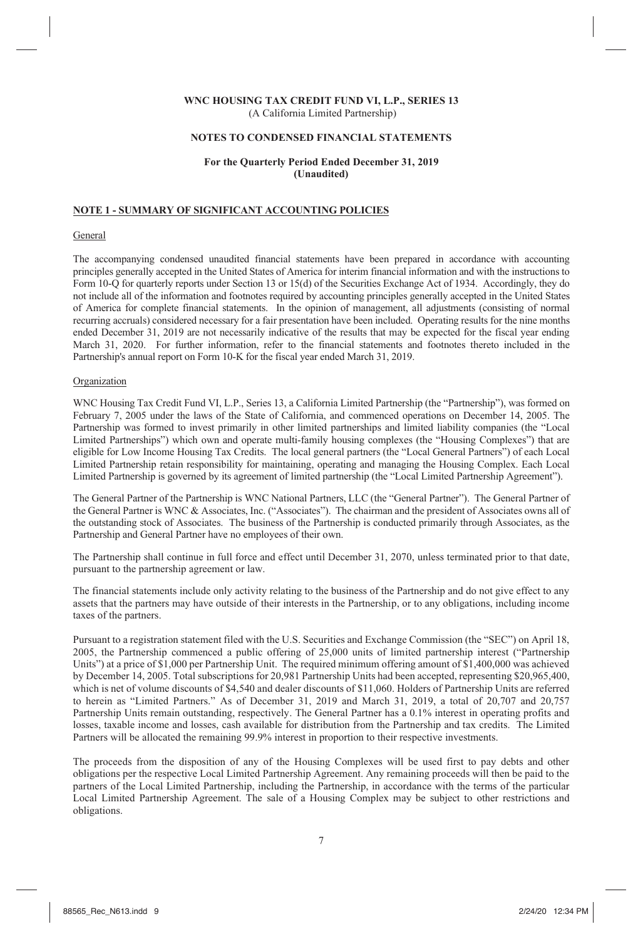#### **NOTES TO CONDENSED FINANCIAL STATEMENTS**

#### **For the Quarterly Period Ended December 31, 2019 (Unaudited)**

### **NOTE 1 - SUMMARY OF SIGNIFICANT ACCOUNTING POLICIES**

#### General

The accompanying condensed unaudited financial statements have been prepared in accordance with accounting principles generally accepted in the United States of America for interim financial information and with the instructions to Form 10-Q for quarterly reports under Section 13 or 15(d) of the Securities Exchange Act of 1934. Accordingly, they do not include all of the information and footnotes required by accounting principles generally accepted in the United States of America for complete financial statements. In the opinion of management, all adjustments (consisting of normal recurring accruals) considered necessary for a fair presentation have been included. Operating results for the nine months ended December 31, 2019 are not necessarily indicative of the results that may be expected for the fiscal year ending March 31, 2020. For further information, refer to the financial statements and footnotes thereto included in the Partnership's annual report on Form 10-K for the fiscal year ended March 31, 2019.

#### Organization

WNC Housing Tax Credit Fund VI, L.P., Series 13, a California Limited Partnership (the "Partnership"), was formed on February 7, 2005 under the laws of the State of California, and commenced operations on December 14, 2005. The Partnership was formed to invest primarily in other limited partnerships and limited liability companies (the "Local Limited Partnerships") which own and operate multi-family housing complexes (the "Housing Complexes") that are eligible for Low Income Housing Tax Credits. The local general partners (the "Local General Partners") of each Local Limited Partnership retain responsibility for maintaining, operating and managing the Housing Complex. Each Local Limited Partnership is governed by its agreement of limited partnership (the "Local Limited Partnership Agreement").

The General Partner of the Partnership is WNC National Partners, LLC (the "General Partner"). The General Partner of the General Partner is WNC & Associates, Inc. ("Associates"). The chairman and the president of Associates owns all of the outstanding stock of Associates. The business of the Partnership is conducted primarily through Associates, as the Partnership and General Partner have no employees of their own.

The Partnership shall continue in full force and effect until December 31, 2070, unless terminated prior to that date, pursuant to the partnership agreement or law.

The financial statements include only activity relating to the business of the Partnership and do not give effect to any assets that the partners may have outside of their interests in the Partnership, or to any obligations, including income taxes of the partners.

Pursuant to a registration statement filed with the U.S. Securities and Exchange Commission (the "SEC") on April 18, 2005, the Partnership commenced a public offering of 25,000 units of limited partnership interest ("Partnership Units") at a price of \$1,000 per Partnership Unit. The required minimum offering amount of \$1,400,000 was achieved by December 14, 2005. Total subscriptions for 20,981 Partnership Units had been accepted, representing \$20,965,400, which is net of volume discounts of \$4,540 and dealer discounts of \$11,060. Holders of Partnership Units are referred to herein as "Limited Partners." As of December 31, 2019 and March 31, 2019, a total of 20,707 and 20,757 Partnership Units remain outstanding, respectively. The General Partner has a 0.1% interest in operating profits and losses, taxable income and losses, cash available for distribution from the Partnership and tax credits. The Limited Partners will be allocated the remaining 99.9% interest in proportion to their respective investments.

The proceeds from the disposition of any of the Housing Complexes will be used first to pay debts and other obligations per the respective Local Limited Partnership Agreement. Any remaining proceeds will then be paid to the partners of the Local Limited Partnership, including the Partnership, in accordance with the terms of the particular Local Limited Partnership Agreement. The sale of a Housing Complex may be subject to other restrictions and obligations.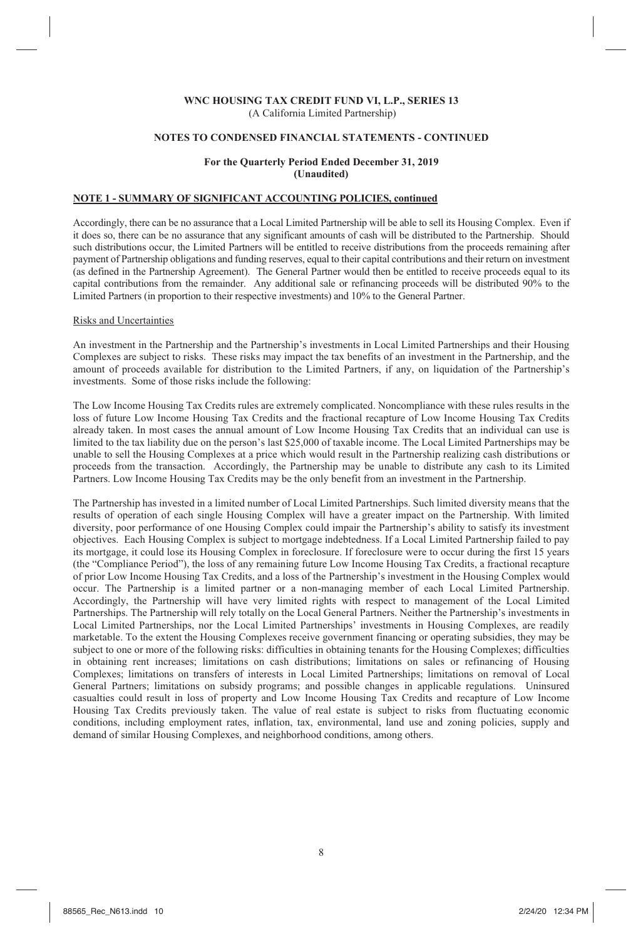#### **NOTES TO CONDENSED FINANCIAL STATEMENTS - CONTINUED**

#### **For the Quarterly Period Ended December 31, 2019 (Unaudited)**

### **NOTE 1 - SUMMARY OF SIGNIFICANT ACCOUNTING POLICIES, continued**

Accordingly, there can be no assurance that a Local Limited Partnership will be able to sell its Housing Complex. Even if it does so, there can be no assurance that any significant amounts of cash will be distributed to the Partnership. Should such distributions occur, the Limited Partners will be entitled to receive distributions from the proceeds remaining after payment of Partnership obligations and funding reserves, equal to their capital contributions and their return on investment (as defined in the Partnership Agreement). The General Partner would then be entitled to receive proceeds equal to its capital contributions from the remainder. Any additional sale or refinancing proceeds will be distributed 90% to the Limited Partners (in proportion to their respective investments) and 10% to the General Partner.

#### Risks and Uncertainties

An investment in the Partnership and the Partnership's investments in Local Limited Partnerships and their Housing Complexes are subject to risks. These risks may impact the tax benefits of an investment in the Partnership, and the amount of proceeds available for distribution to the Limited Partners, if any, on liquidation of the Partnership's investments. Some of those risks include the following:

The Low Income Housing Tax Credits rules are extremely complicated. Noncompliance with these rules results in the loss of future Low Income Housing Tax Credits and the fractional recapture of Low Income Housing Tax Credits already taken. In most cases the annual amount of Low Income Housing Tax Credits that an individual can use is limited to the tax liability due on the person's last \$25,000 of taxable income. The Local Limited Partnerships may be unable to sell the Housing Complexes at a price which would result in the Partnership realizing cash distributions or proceeds from the transaction. Accordingly, the Partnership may be unable to distribute any cash to its Limited Partners. Low Income Housing Tax Credits may be the only benefit from an investment in the Partnership.

The Partnership has invested in a limited number of Local Limited Partnerships. Such limited diversity means that the results of operation of each single Housing Complex will have a greater impact on the Partnership. With limited diversity, poor performance of one Housing Complex could impair the Partnership's ability to satisfy its investment objectives. Each Housing Complex is subject to mortgage indebtedness. If a Local Limited Partnership failed to pay its mortgage, it could lose its Housing Complex in foreclosure. If foreclosure were to occur during the first 15 years (the "Compliance Period"), the loss of any remaining future Low Income Housing Tax Credits, a fractional recapture of prior Low Income Housing Tax Credits, and a loss of the Partnership's investment in the Housing Complex would occur. The Partnership is a limited partner or a non-managing member of each Local Limited Partnership. Accordingly, the Partnership will have very limited rights with respect to management of the Local Limited Partnerships. The Partnership will rely totally on the Local General Partners. Neither the Partnership's investments in Local Limited Partnerships, nor the Local Limited Partnerships' investments in Housing Complexes, are readily marketable. To the extent the Housing Complexes receive government financing or operating subsidies, they may be subject to one or more of the following risks: difficulties in obtaining tenants for the Housing Complexes; difficulties in obtaining rent increases; limitations on cash distributions; limitations on sales or refinancing of Housing Complexes; limitations on transfers of interests in Local Limited Partnerships; limitations on removal of Local General Partners; limitations on subsidy programs; and possible changes in applicable regulations. Uninsured casualties could result in loss of property and Low Income Housing Tax Credits and recapture of Low Income Housing Tax Credits previously taken. The value of real estate is subject to risks from fluctuating economic conditions, including employment rates, inflation, tax, environmental, land use and zoning policies, supply and demand of similar Housing Complexes, and neighborhood conditions, among others.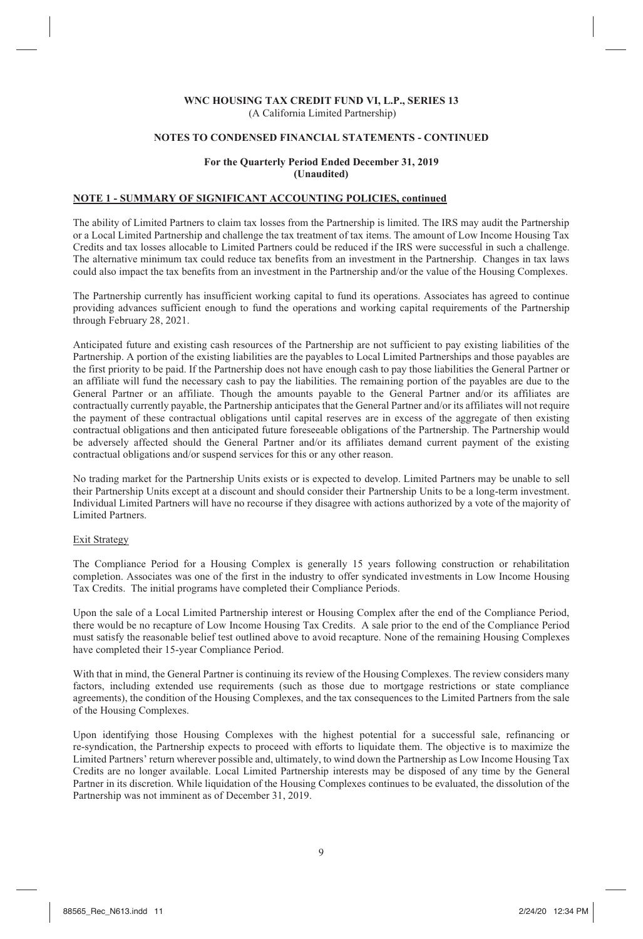#### **NOTES TO CONDENSED FINANCIAL STATEMENTS - CONTINUED**

#### **For the Quarterly Period Ended December 31, 2019 (Unaudited)**

# **NOTE 1 - SUMMARY OF SIGNIFICANT ACCOUNTING POLICIES, continued**

The ability of Limited Partners to claim tax losses from the Partnership is limited. The IRS may audit the Partnership or a Local Limited Partnership and challenge the tax treatment of tax items. The amount of Low Income Housing Tax Credits and tax losses allocable to Limited Partners could be reduced if the IRS were successful in such a challenge. The alternative minimum tax could reduce tax benefits from an investment in the Partnership. Changes in tax laws could also impact the tax benefits from an investment in the Partnership and/or the value of the Housing Complexes.

The Partnership currently has insufficient working capital to fund its operations. Associates has agreed to continue providing advances sufficient enough to fund the operations and working capital requirements of the Partnership through February 28, 2021.

Anticipated future and existing cash resources of the Partnership are not sufficient to pay existing liabilities of the Partnership. A portion of the existing liabilities are the payables to Local Limited Partnerships and those payables are the first priority to be paid. If the Partnership does not have enough cash to pay those liabilities the General Partner or an affiliate will fund the necessary cash to pay the liabilities. The remaining portion of the payables are due to the General Partner or an affiliate. Though the amounts payable to the General Partner and/or its affiliates are contractually currently payable, the Partnership anticipates that the General Partner and/or its affiliates will not require the payment of these contractual obligations until capital reserves are in excess of the aggregate of then existing contractual obligations and then anticipated future foreseeable obligations of the Partnership. The Partnership would be adversely affected should the General Partner and/or its affiliates demand current payment of the existing contractual obligations and/or suspend services for this or any other reason.

No trading market for the Partnership Units exists or is expected to develop. Limited Partners may be unable to sell their Partnership Units except at a discount and should consider their Partnership Units to be a long-term investment. Individual Limited Partners will have no recourse if they disagree with actions authorized by a vote of the majority of Limited Partners.

#### Exit Strategy

The Compliance Period for a Housing Complex is generally 15 years following construction or rehabilitation completion. Associates was one of the first in the industry to offer syndicated investments in Low Income Housing Tax Credits. The initial programs have completed their Compliance Periods.

Upon the sale of a Local Limited Partnership interest or Housing Complex after the end of the Compliance Period, there would be no recapture of Low Income Housing Tax Credits. A sale prior to the end of the Compliance Period must satisfy the reasonable belief test outlined above to avoid recapture. None of the remaining Housing Complexes have completed their 15-year Compliance Period.

With that in mind, the General Partner is continuing its review of the Housing Complexes. The review considers many factors, including extended use requirements (such as those due to mortgage restrictions or state compliance agreements), the condition of the Housing Complexes, and the tax consequences to the Limited Partners from the sale of the Housing Complexes.

Upon identifying those Housing Complexes with the highest potential for a successful sale, refinancing or re-syndication, the Partnership expects to proceed with efforts to liquidate them. The objective is to maximize the Limited Partners' return wherever possible and, ultimately, to wind down the Partnership as Low Income Housing Tax Credits are no longer available. Local Limited Partnership interests may be disposed of any time by the General Partner in its discretion. While liquidation of the Housing Complexes continues to be evaluated, the dissolution of the Partnership was not imminent as of December 31, 2019.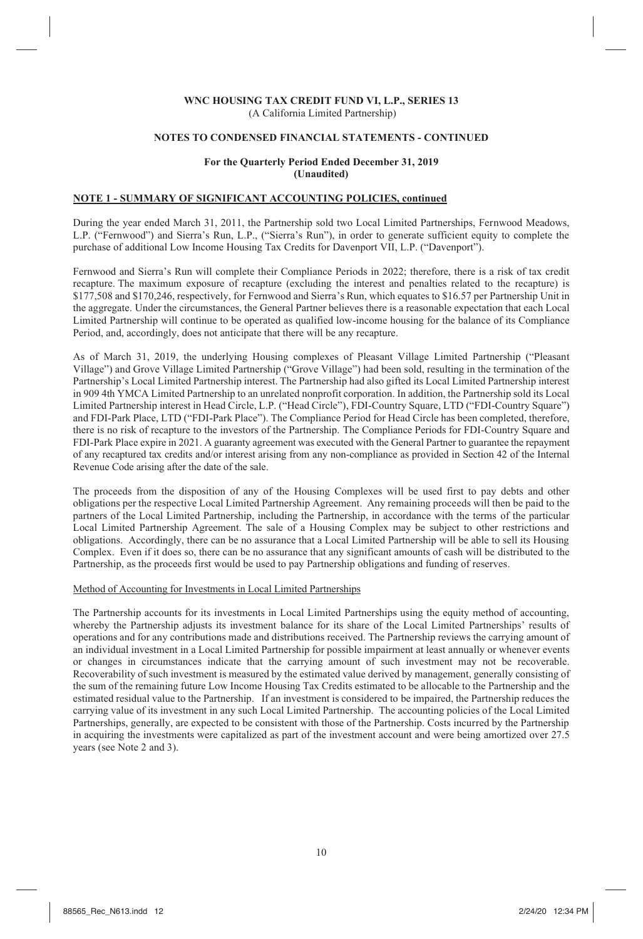#### **NOTES TO CONDENSED FINANCIAL STATEMENTS - CONTINUED**

#### **For the Quarterly Period Ended December 31, 2019 (Unaudited)**

# **NOTE 1 - SUMMARY OF SIGNIFICANT ACCOUNTING POLICIES, continued**

During the year ended March 31, 2011, the Partnership sold two Local Limited Partnerships, Fernwood Meadows, L.P. ("Fernwood") and Sierra's Run, L.P., ("Sierra's Run"), in order to generate sufficient equity to complete the purchase of additional Low Income Housing Tax Credits for Davenport VII, L.P. ("Davenport").

Fernwood and Sierra's Run will complete their Compliance Periods in 2022; therefore, there is a risk of tax credit recapture. The maximum exposure of recapture (excluding the interest and penalties related to the recapture) is \$177,508 and \$170,246, respectively, for Fernwood and Sierra's Run, which equates to \$16.57 per Partnership Unit in the aggregate. Under the circumstances, the General Partner believes there is a reasonable expectation that each Local Limited Partnership will continue to be operated as qualified low-income housing for the balance of its Compliance Period, and, accordingly, does not anticipate that there will be any recapture.

As of March 31, 2019, the underlying Housing complexes of Pleasant Village Limited Partnership ("Pleasant Village") and Grove Village Limited Partnership ("Grove Village") had been sold, resulting in the termination of the Partnership's Local Limited Partnership interest. The Partnership had also gifted its Local Limited Partnership interest in 909 4th YMCA Limited Partnership to an unrelated nonprofit corporation. In addition, the Partnership sold its Local Limited Partnership interest in Head Circle, L.P. ("Head Circle"), FDI-Country Square, LTD ("FDI-Country Square") and FDI-Park Place, LTD ("FDI-Park Place"). The Compliance Period for Head Circle has been completed, therefore, there is no risk of recapture to the investors of the Partnership. The Compliance Periods for FDI-Country Square and FDI-Park Place expire in 2021. A guaranty agreement was executed with the General Partner to guarantee the repayment of any recaptured tax credits and/or interest arising from any non-compliance as provided in Section 42 of the Internal Revenue Code arising after the date of the sale.

The proceeds from the disposition of any of the Housing Complexes will be used first to pay debts and other obligations per the respective Local Limited Partnership Agreement. Any remaining proceeds will then be paid to the partners of the Local Limited Partnership, including the Partnership, in accordance with the terms of the particular Local Limited Partnership Agreement. The sale of a Housing Complex may be subject to other restrictions and obligations. Accordingly, there can be no assurance that a Local Limited Partnership will be able to sell its Housing Complex. Even if it does so, there can be no assurance that any significant amounts of cash will be distributed to the Partnership, as the proceeds first would be used to pay Partnership obligations and funding of reserves.

#### Method of Accounting for Investments in Local Limited Partnerships

The Partnership accounts for its investments in Local Limited Partnerships using the equity method of accounting, whereby the Partnership adjusts its investment balance for its share of the Local Limited Partnerships' results of operations and for any contributions made and distributions received. The Partnership reviews the carrying amount of an individual investment in a Local Limited Partnership for possible impairment at least annually or whenever events or changes in circumstances indicate that the carrying amount of such investment may not be recoverable. Recoverability of such investment is measured by the estimated value derived by management, generally consisting of the sum of the remaining future Low Income Housing Tax Credits estimated to be allocable to the Partnership and the estimated residual value to the Partnership. If an investment is considered to be impaired, the Partnership reduces the carrying value of its investment in any such Local Limited Partnership. The accounting policies of the Local Limited Partnerships, generally, are expected to be consistent with those of the Partnership. Costs incurred by the Partnership in acquiring the investments were capitalized as part of the investment account and were being amortized over 27.5 years (see Note 2 and 3).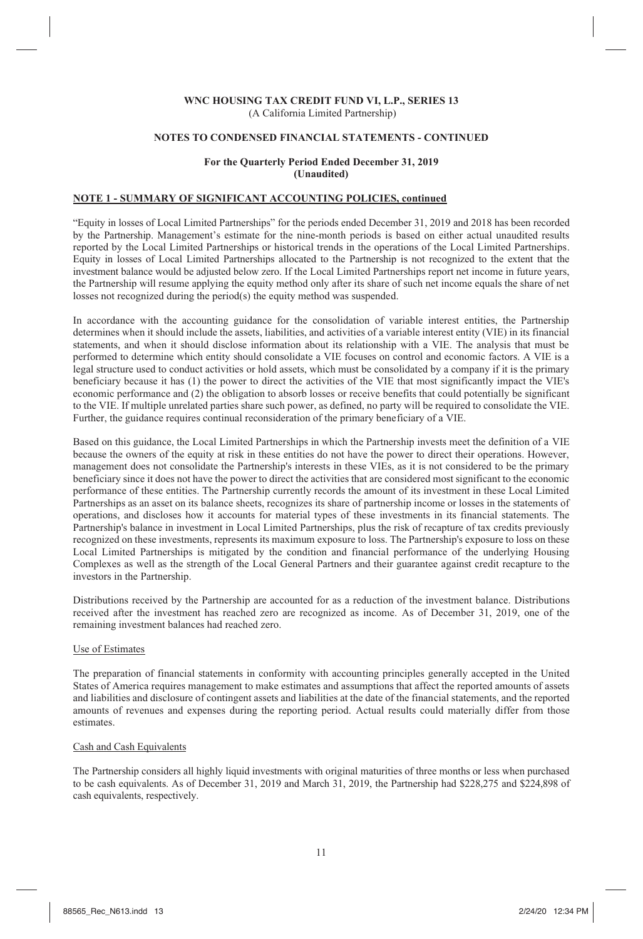#### **NOTES TO CONDENSED FINANCIAL STATEMENTS - CONTINUED**

#### **For the Quarterly Period Ended December 31, 2019 (Unaudited)**

# **NOTE 1 - SUMMARY OF SIGNIFICANT ACCOUNTING POLICIES, continued**

"Equity in losses of Local Limited Partnerships" for the periods ended December 31, 2019 and 2018 has been recorded by the Partnership. Management's estimate for the nine-month periods is based on either actual unaudited results reported by the Local Limited Partnerships or historical trends in the operations of the Local Limited Partnerships. Equity in losses of Local Limited Partnerships allocated to the Partnership is not recognized to the extent that the investment balance would be adjusted below zero. If the Local Limited Partnerships report net income in future years, the Partnership will resume applying the equity method only after its share of such net income equals the share of net losses not recognized during the period(s) the equity method was suspended.

In accordance with the accounting guidance for the consolidation of variable interest entities, the Partnership determines when it should include the assets, liabilities, and activities of a variable interest entity (VIE) in its financial statements, and when it should disclose information about its relationship with a VIE. The analysis that must be performed to determine which entity should consolidate a VIE focuses on control and economic factors. A VIE is a legal structure used to conduct activities or hold assets, which must be consolidated by a company if it is the primary beneficiary because it has (1) the power to direct the activities of the VIE that most significantly impact the VIE's economic performance and (2) the obligation to absorb losses or receive benefits that could potentially be significant to the VIE. If multiple unrelated parties share such power, as defined, no party will be required to consolidate the VIE. Further, the guidance requires continual reconsideration of the primary beneficiary of a VIE.

Based on this guidance, the Local Limited Partnerships in which the Partnership invests meet the definition of a VIE because the owners of the equity at risk in these entities do not have the power to direct their operations. However, management does not consolidate the Partnership's interests in these VIEs, as it is not considered to be the primary beneficiary since it does not have the power to direct the activities that are considered most significant to the economic performance of these entities. The Partnership currently records the amount of its investment in these Local Limited Partnerships as an asset on its balance sheets, recognizes its share of partnership income or losses in the statements of operations, and discloses how it accounts for material types of these investments in its financial statements. The Partnership's balance in investment in Local Limited Partnerships, plus the risk of recapture of tax credits previously recognized on these investments, represents its maximum exposure to loss. The Partnership's exposure to loss on these Local Limited Partnerships is mitigated by the condition and financial performance of the underlying Housing Complexes as well as the strength of the Local General Partners and their guarantee against credit recapture to the investors in the Partnership.

Distributions received by the Partnership are accounted for as a reduction of the investment balance. Distributions received after the investment has reached zero are recognized as income. As of December 31, 2019, one of the remaining investment balances had reached zero.

#### Use of Estimates

The preparation of financial statements in conformity with accounting principles generally accepted in the United States of America requires management to make estimates and assumptions that affect the reported amounts of assets and liabilities and disclosure of contingent assets and liabilities at the date of the financial statements, and the reported amounts of revenues and expenses during the reporting period. Actual results could materially differ from those estimates.

#### Cash and Cash Equivalents

The Partnership considers all highly liquid investments with original maturities of three months or less when purchased to be cash equivalents. As of December 31, 2019 and March 31, 2019, the Partnership had \$228,275 and \$224,898 of cash equivalents, respectively.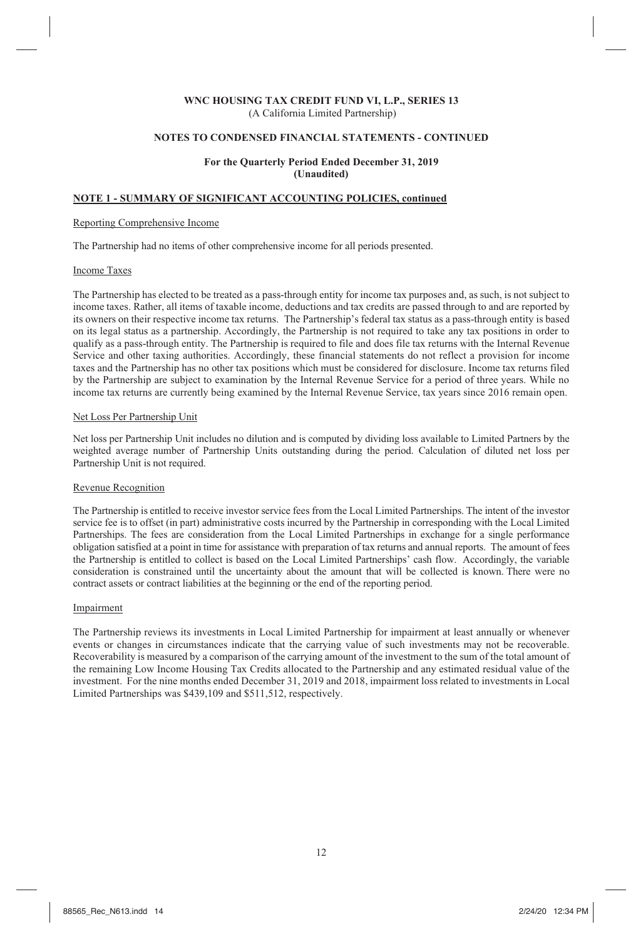#### **NOTES TO CONDENSED FINANCIAL STATEMENTS - CONTINUED**

#### **For the Quarterly Period Ended December 31, 2019 (Unaudited)**

# **NOTE 1 - SUMMARY OF SIGNIFICANT ACCOUNTING POLICIES, continued**

#### Reporting Comprehensive Income

The Partnership had no items of other comprehensive income for all periods presented.

#### Income Taxes

The Partnership has elected to be treated as a pass-through entity for income tax purposes and, as such, is not subject to income taxes. Rather, all items of taxable income, deductions and tax credits are passed through to and are reported by its owners on their respective income tax returns. The Partnership's federal tax status as a pass-through entity is based on its legal status as a partnership. Accordingly, the Partnership is not required to take any tax positions in order to qualify as a pass-through entity. The Partnership is required to file and does file tax returns with the Internal Revenue Service and other taxing authorities. Accordingly, these financial statements do not reflect a provision for income taxes and the Partnership has no other tax positions which must be considered for disclosure. Income tax returns filed by the Partnership are subject to examination by the Internal Revenue Service for a period of three years. While no income tax returns are currently being examined by the Internal Revenue Service, tax years since 2016 remain open.

#### Net Loss Per Partnership Unit

Net loss per Partnership Unit includes no dilution and is computed by dividing loss available to Limited Partners by the weighted average number of Partnership Units outstanding during the period. Calculation of diluted net loss per Partnership Unit is not required.

#### Revenue Recognition

The Partnership is entitled to receive investor service fees from the Local Limited Partnerships. The intent of the investor service fee is to offset (in part) administrative costs incurred by the Partnership in corresponding with the Local Limited Partnerships. The fees are consideration from the Local Limited Partnerships in exchange for a single performance obligation satisfied at a point in time for assistance with preparation of tax returns and annual reports. The amount of fees the Partnership is entitled to collect is based on the Local Limited Partnerships' cash flow. Accordingly, the variable consideration is constrained until the uncertainty about the amount that will be collected is known. There were no contract assets or contract liabilities at the beginning or the end of the reporting period.

#### Impairment

The Partnership reviews its investments in Local Limited Partnership for impairment at least annually or whenever events or changes in circumstances indicate that the carrying value of such investments may not be recoverable. Recoverability is measured by a comparison of the carrying amount of the investment to the sum of the total amount of the remaining Low Income Housing Tax Credits allocated to the Partnership and any estimated residual value of the investment. For the nine months ended December 31, 2019 and 2018, impairment loss related to investments in Local Limited Partnerships was \$439,109 and \$511,512, respectively.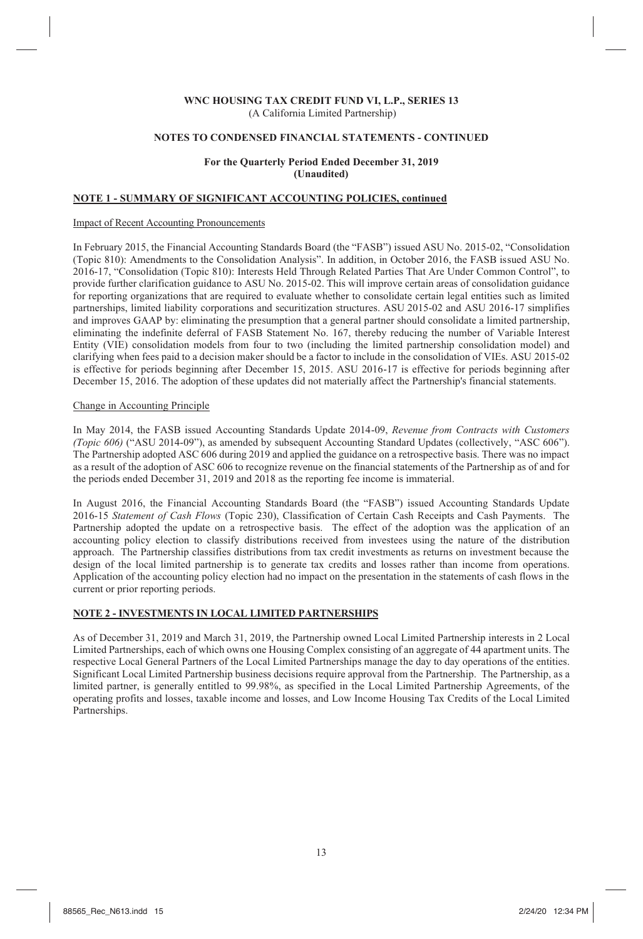#### **NOTES TO CONDENSED FINANCIAL STATEMENTS - CONTINUED**

#### **For the Quarterly Period Ended December 31, 2019 (Unaudited)**

### **NOTE 1 - SUMMARY OF SIGNIFICANT ACCOUNTING POLICIES, continued**

#### Impact of Recent Accounting Pronouncements

In February 2015, the Financial Accounting Standards Board (the "FASB") issued ASU No. 2015-02, "Consolidation (Topic 810): Amendments to the Consolidation Analysis". In addition, in October 2016, the FASB issued ASU No. 2016-17, "Consolidation (Topic 810): Interests Held Through Related Parties That Are Under Common Control", to provide further clarification guidance to ASU No. 2015-02. This will improve certain areas of consolidation guidance for reporting organizations that are required to evaluate whether to consolidate certain legal entities such as limited partnerships, limited liability corporations and securitization structures. ASU 2015-02 and ASU 2016-17 simplifies and improves GAAP by: eliminating the presumption that a general partner should consolidate a limited partnership, eliminating the indefinite deferral of FASB Statement No. 167, thereby reducing the number of Variable Interest Entity (VIE) consolidation models from four to two (including the limited partnership consolidation model) and clarifying when fees paid to a decision maker should be a factor to include in the consolidation of VIEs. ASU 2015-02 is effective for periods beginning after December 15, 2015. ASU 2016-17 is effective for periods beginning after December 15, 2016. The adoption of these updates did not materially affect the Partnership's financial statements.

#### Change in Accounting Principle

In May 2014, the FASB issued Accounting Standards Update 2014-09, *Revenue from Contracts with Customers (Topic 606)* ("ASU 2014-09"), as amended by subsequent Accounting Standard Updates (collectively, "ASC 606"). The Partnership adopted ASC 606 during 2019 and applied the guidance on a retrospective basis. There was no impact as a result of the adoption of ASC 606 to recognize revenue on the financial statements of the Partnership as of and for the periods ended December 31, 2019 and 2018 as the reporting fee income is immaterial.

In August 2016, the Financial Accounting Standards Board (the "FASB") issued Accounting Standards Update 2016-15 *Statement of Cash Flows* (Topic 230), Classification of Certain Cash Receipts and Cash Payments. The Partnership adopted the update on a retrospective basis. The effect of the adoption was the application of an accounting policy election to classify distributions received from investees using the nature of the distribution approach. The Partnership classifies distributions from tax credit investments as returns on investment because the design of the local limited partnership is to generate tax credits and losses rather than income from operations. Application of the accounting policy election had no impact on the presentation in the statements of cash flows in the current or prior reporting periods.

#### **NOTE 2 - INVESTMENTS IN LOCAL LIMITED PARTNERSHIPS**

As of December 31, 2019 and March 31, 2019, the Partnership owned Local Limited Partnership interests in 2 Local Limited Partnerships, each of which owns one Housing Complex consisting of an aggregate of 44 apartment units. The respective Local General Partners of the Local Limited Partnerships manage the day to day operations of the entities. Significant Local Limited Partnership business decisions require approval from the Partnership. The Partnership, as a limited partner, is generally entitled to 99.98%, as specified in the Local Limited Partnership Agreements, of the operating profits and losses, taxable income and losses, and Low Income Housing Tax Credits of the Local Limited Partnerships.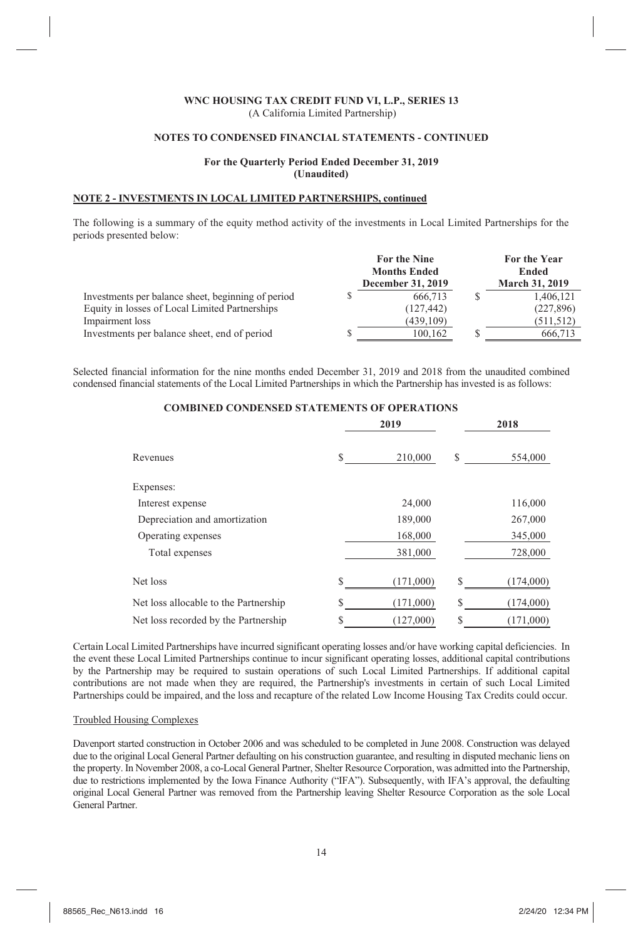#### **NOTES TO CONDENSED FINANCIAL STATEMENTS - CONTINUED**

#### **For the Quarterly Period Ended December 31, 2019 (Unaudited)**

# **NOTE 2 - INVESTMENTS IN LOCAL LIMITED PARTNERSHIPS, continued**

The following is a summary of the equity method activity of the investments in Local Limited Partnerships for the periods presented below:

|                                                    | For the Nine<br><b>Months Ended</b><br>December 31, 2019 | For the Year<br>Ended<br><b>March 31, 2019</b> |
|----------------------------------------------------|----------------------------------------------------------|------------------------------------------------|
| Investments per balance sheet, beginning of period | 666,713                                                  | 1,406,121                                      |
| Equity in losses of Local Limited Partnerships     | (127, 442)                                               | (227, 896)                                     |
| Impairment loss                                    | (439,109)                                                | (511, 512)                                     |
| Investments per balance sheet, end of period       | 100,162                                                  | 666,713                                        |

Selected financial information for the nine months ended December 31, 2019 and 2018 from the unaudited combined condensed financial statements of the Local Limited Partnerships in which the Partnership has invested is as follows:

**COMBINED CONDENSED STATEMENTS OF OPERATIONS** 

|                                       |   | 2019      | 2018 |           |  |
|---------------------------------------|---|-----------|------|-----------|--|
| Revenues                              | S | 210,000   | \$   | 554,000   |  |
| Expenses:                             |   |           |      |           |  |
| Interest expense                      |   | 24,000    |      | 116,000   |  |
| Depreciation and amortization         |   | 189,000   |      | 267,000   |  |
| Operating expenses                    |   | 168,000   |      | 345,000   |  |
| Total expenses                        |   | 381,000   |      | 728,000   |  |
| Net loss                              | ς | (171,000) | S    | (174,000) |  |
| Net loss allocable to the Partnership | S | (171,000) | \$   | (174,000) |  |
| Net loss recorded by the Partnership  |   | (127,000) | S    | (171,000) |  |

Certain Local Limited Partnerships have incurred significant operating losses and/or have working capital deficiencies. In the event these Local Limited Partnerships continue to incur significant operating losses, additional capital contributions by the Partnership may be required to sustain operations of such Local Limited Partnerships. If additional capital contributions are not made when they are required, the Partnership's investments in certain of such Local Limited Partnerships could be impaired, and the loss and recapture of the related Low Income Housing Tax Credits could occur.

#### Troubled Housing Complexes

Davenport started construction in October 2006 and was scheduled to be completed in June 2008. Construction was delayed due to the original Local General Partner defaulting on his construction guarantee, and resulting in disputed mechanic liens on the property. In November 2008, a co-Local General Partner, Shelter Resource Corporation, was admitted into the Partnership, due to restrictions implemented by the Iowa Finance Authority ("IFA"). Subsequently, with IFA's approval, the defaulting original Local General Partner was removed from the Partnership leaving Shelter Resource Corporation as the sole Local General Partner.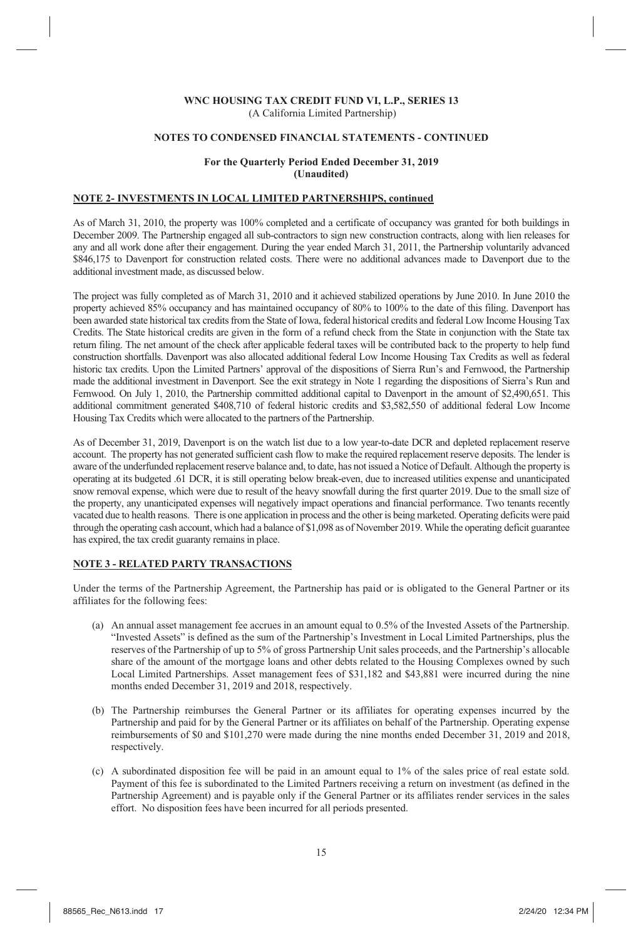#### **NOTES TO CONDENSED FINANCIAL STATEMENTS - CONTINUED**

#### **For the Quarterly Period Ended December 31, 2019 (Unaudited)**

#### **NOTE 2- INVESTMENTS IN LOCAL LIMITED PARTNERSHIPS, continued**

As of March 31, 2010, the property was 100% completed and a certificate of occupancy was granted for both buildings in December 2009. The Partnership engaged all sub-contractors to sign new construction contracts, along with lien releases for any and all work done after their engagement. During the year ended March 31, 2011, the Partnership voluntarily advanced \$846,175 to Davenport for construction related costs. There were no additional advances made to Davenport due to the additional investment made, as discussed below.

The project was fully completed as of March 31, 2010 and it achieved stabilized operations by June 2010. In June 2010 the property achieved 85% occupancy and has maintained occupancy of 80% to 100% to the date of this filing. Davenport has been awarded state historical tax credits from the State of Iowa, federal historical credits and federal Low Income Housing Tax Credits. The State historical credits are given in the form of a refund check from the State in conjunction with the State tax return filing. The net amount of the check after applicable federal taxes will be contributed back to the property to help fund construction shortfalls. Davenport was also allocated additional federal Low Income Housing Tax Credits as well as federal historic tax credits. Upon the Limited Partners' approval of the dispositions of Sierra Run's and Fernwood, the Partnership made the additional investment in Davenport. See the exit strategy in Note 1 regarding the dispositions of Sierra's Run and Fernwood. On July 1, 2010, the Partnership committed additional capital to Davenport in the amount of \$2,490,651. This additional commitment generated \$408,710 of federal historic credits and \$3,582,550 of additional federal Low Income Housing Tax Credits which were allocated to the partners of the Partnership.

As of December 31, 2019, Davenport is on the watch list due to a low year-to-date DCR and depleted replacement reserve account. The property has not generated sufficient cash flow to make the required replacement reserve deposits. The lender is aware of the underfunded replacement reserve balance and, to date, has not issued a Notice of Default. Although the property is operating at its budgeted .61 DCR, it is still operating below break-even, due to increased utilities expense and unanticipated snow removal expense, which were due to result of the heavy snowfall during the first quarter 2019. Due to the small size of the property, any unanticipated expenses will negatively impact operations and financial performance. Two tenants recently vacated due to health reasons. There is one application in process and the other is being marketed. Operating deficits were paid through the operating cash account, which had a balance of \$1,098 as of November 2019. While the operating deficit guarantee has expired, the tax credit guaranty remains in place.

#### **NOTE 3 - RELATED PARTY TRANSACTIONS**

Under the terms of the Partnership Agreement, the Partnership has paid or is obligated to the General Partner or its affiliates for the following fees:

- (a) An annual asset management fee accrues in an amount equal to 0.5% of the Invested Assets of the Partnership. "Invested Assets" is defined as the sum of the Partnership's Investment in Local Limited Partnerships, plus the reserves of the Partnership of up to 5% of gross Partnership Unit sales proceeds, and the Partnership's allocable share of the amount of the mortgage loans and other debts related to the Housing Complexes owned by such Local Limited Partnerships. Asset management fees of \$31,182 and \$43,881 were incurred during the nine months ended December 31, 2019 and 2018, respectively.
- (b) The Partnership reimburses the General Partner or its affiliates for operating expenses incurred by the Partnership and paid for by the General Partner or its affiliates on behalf of the Partnership. Operating expense reimbursements of \$0 and \$101,270 were made during the nine months ended December 31, 2019 and 2018, respectively.
- (c) A subordinated disposition fee will be paid in an amount equal to 1% of the sales price of real estate sold. Payment of this fee is subordinated to the Limited Partners receiving a return on investment (as defined in the Partnership Agreement) and is payable only if the General Partner or its affiliates render services in the sales effort. No disposition fees have been incurred for all periods presented.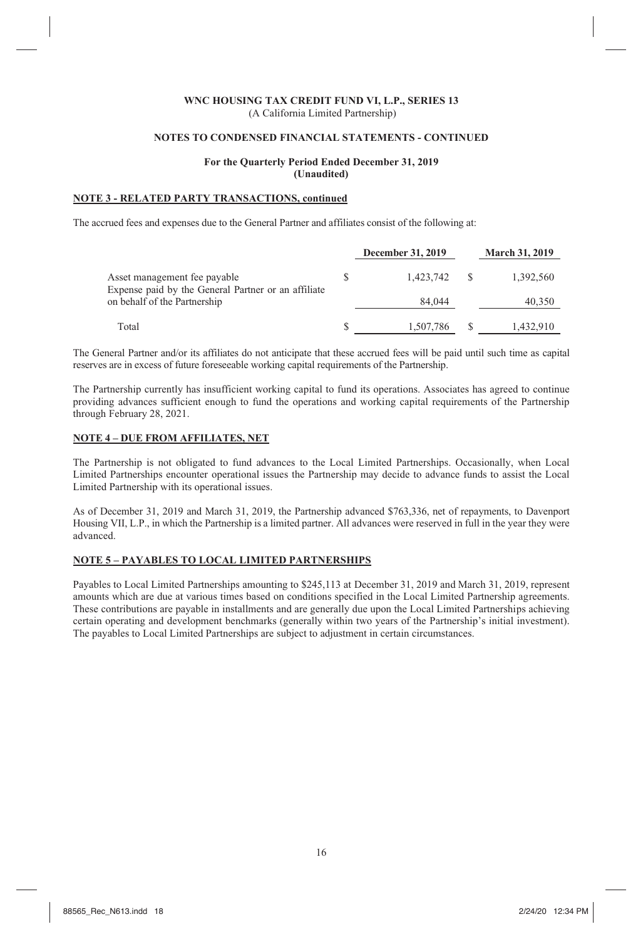#### **NOTES TO CONDENSED FINANCIAL STATEMENTS - CONTINUED**

#### **For the Quarterly Period Ended December 31, 2019 (Unaudited)**

# **NOTE 3 - RELATED PARTY TRANSACTIONS, continued**

The accrued fees and expenses due to the General Partner and affiliates consist of the following at:

|                                                                                     | December 31, 2019 |      | <b>March 31, 2019</b> |
|-------------------------------------------------------------------------------------|-------------------|------|-----------------------|
| Asset management fee payable<br>Expense paid by the General Partner or an affiliate | 1.423.742         | - \$ | 1.392.560             |
| on behalf of the Partnership                                                        | 84,044            |      | 40,350                |
| Total                                                                               | 1,507,786         |      | 1.432.910             |

The General Partner and/or its affiliates do not anticipate that these accrued fees will be paid until such time as capital reserves are in excess of future foreseeable working capital requirements of the Partnership.

The Partnership currently has insufficient working capital to fund its operations. Associates has agreed to continue providing advances sufficient enough to fund the operations and working capital requirements of the Partnership through February 28, 2021.

#### **NOTE 4 – DUE FROM AFFILIATES, NET**

The Partnership is not obligated to fund advances to the Local Limited Partnerships. Occasionally, when Local Limited Partnerships encounter operational issues the Partnership may decide to advance funds to assist the Local Limited Partnership with its operational issues.

As of December 31, 2019 and March 31, 2019, the Partnership advanced \$763,336, net of repayments, to Davenport Housing VII, L.P., in which the Partnership is a limited partner. All advances were reserved in full in the year they were advanced.

#### **NOTE 5 – PAYABLES TO LOCAL LIMITED PARTNERSHIPS**

Payables to Local Limited Partnerships amounting to \$245,113 at December 31, 2019 and March 31, 2019, represent amounts which are due at various times based on conditions specified in the Local Limited Partnership agreements. These contributions are payable in installments and are generally due upon the Local Limited Partnerships achieving certain operating and development benchmarks (generally within two years of the Partnership's initial investment). The payables to Local Limited Partnerships are subject to adjustment in certain circumstances.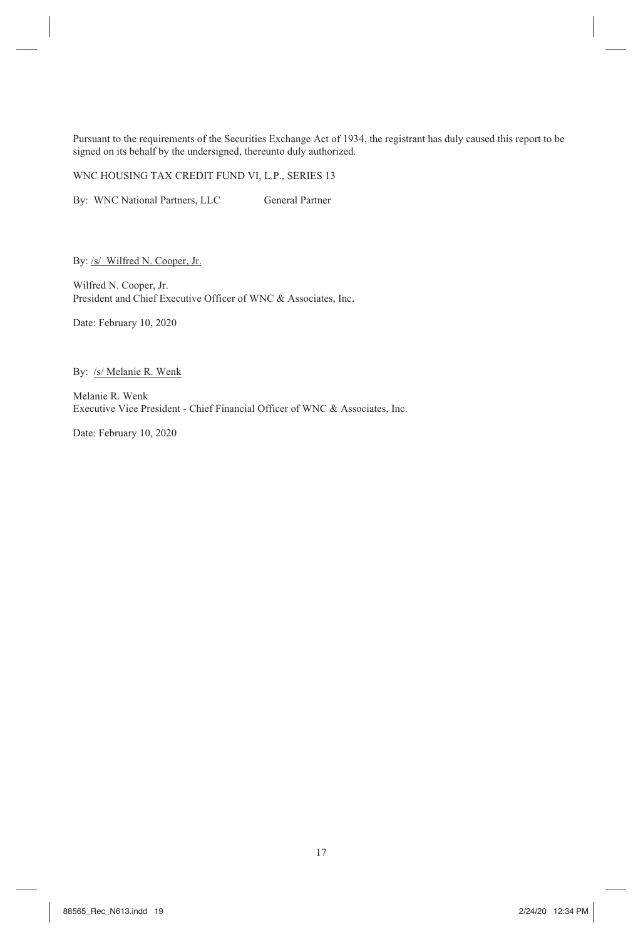Pursuant to the requirements of the Securities Exchange Act of 1934, the registrant has duly caused this report to be signed on its behalf by the undersigned, thereunto duly authorized.

WNC HOUSING TAX CREDIT FUND VI, L.P., SERIES 13

By: WNC National Partners, LLC General Partner

By: /s/ Wilfred N. Cooper, Jr.

Wilfred N. Cooper, Jr. President and Chief Executive Officer of WNC & Associates, Inc.

Date: February 10, 2020

By: /s/ Melanie R. Wenk

Melanie R. Wenk Executive Vice President - Chief Financial Officer of WNC & Associates, Inc.

Date: February 10, 2020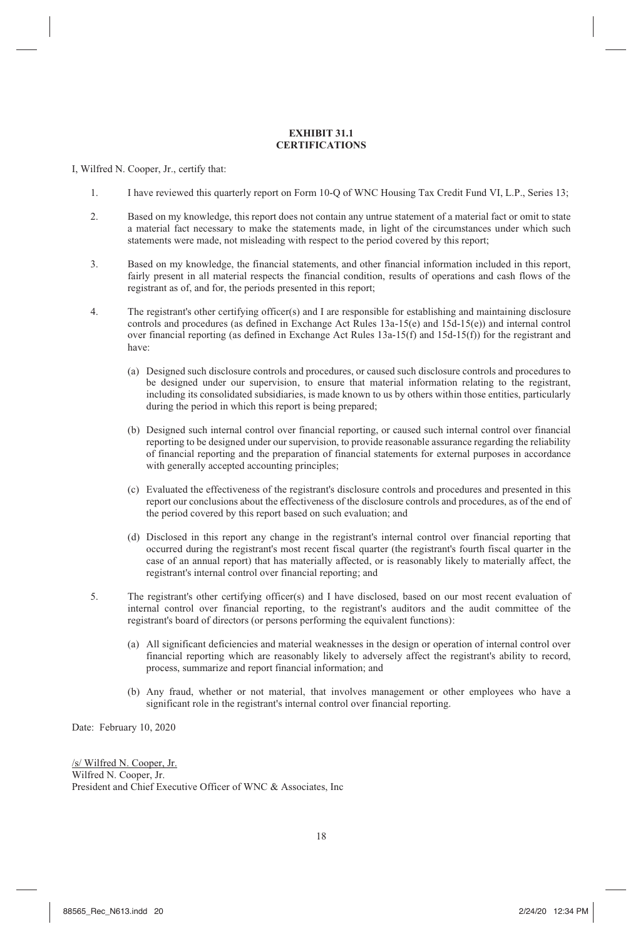#### **EXHIBIT 31.1 CERTIFICATIONS**

I, Wilfred N. Cooper, Jr., certify that:

- 1. I have reviewed this quarterly report on Form 10-Q of WNC Housing Tax Credit Fund VI, L.P., Series 13;
- 2. Based on my knowledge, this report does not contain any untrue statement of a material fact or omit to state a material fact necessary to make the statements made, in light of the circumstances under which such statements were made, not misleading with respect to the period covered by this report;
- 3. Based on my knowledge, the financial statements, and other financial information included in this report, fairly present in all material respects the financial condition, results of operations and cash flows of the registrant as of, and for, the periods presented in this report;
- 4. The registrant's other certifying officer(s) and I are responsible for establishing and maintaining disclosure controls and procedures (as defined in Exchange Act Rules 13a-15(e) and 15d-15(e)) and internal control over financial reporting (as defined in Exchange Act Rules 13a-15(f) and 15d-15(f)) for the registrant and have:
	- (a) Designed such disclosure controls and procedures, or caused such disclosure controls and procedures to be designed under our supervision, to ensure that material information relating to the registrant, including its consolidated subsidiaries, is made known to us by others within those entities, particularly during the period in which this report is being prepared;
	- (b) Designed such internal control over financial reporting, or caused such internal control over financial reporting to be designed under our supervision, to provide reasonable assurance regarding the reliability of financial reporting and the preparation of financial statements for external purposes in accordance with generally accepted accounting principles;
	- (c) Evaluated the effectiveness of the registrant's disclosure controls and procedures and presented in this report our conclusions about the effectiveness of the disclosure controls and procedures, as of the end of the period covered by this report based on such evaluation; and
	- (d) Disclosed in this report any change in the registrant's internal control over financial reporting that occurred during the registrant's most recent fiscal quarter (the registrant's fourth fiscal quarter in the case of an annual report) that has materially affected, or is reasonably likely to materially affect, the registrant's internal control over financial reporting; and
- 5. The registrant's other certifying officer(s) and I have disclosed, based on our most recent evaluation of internal control over financial reporting, to the registrant's auditors and the audit committee of the registrant's board of directors (or persons performing the equivalent functions):
	- (a) All significant deficiencies and material weaknesses in the design or operation of internal control over financial reporting which are reasonably likely to adversely affect the registrant's ability to record, process, summarize and report financial information; and
	- (b) Any fraud, whether or not material, that involves management or other employees who have a significant role in the registrant's internal control over financial reporting.

Date: February 10, 2020

/s/ Wilfred N. Cooper, Jr. Wilfred N. Cooper, Jr. President and Chief Executive Officer of WNC & Associates, Inc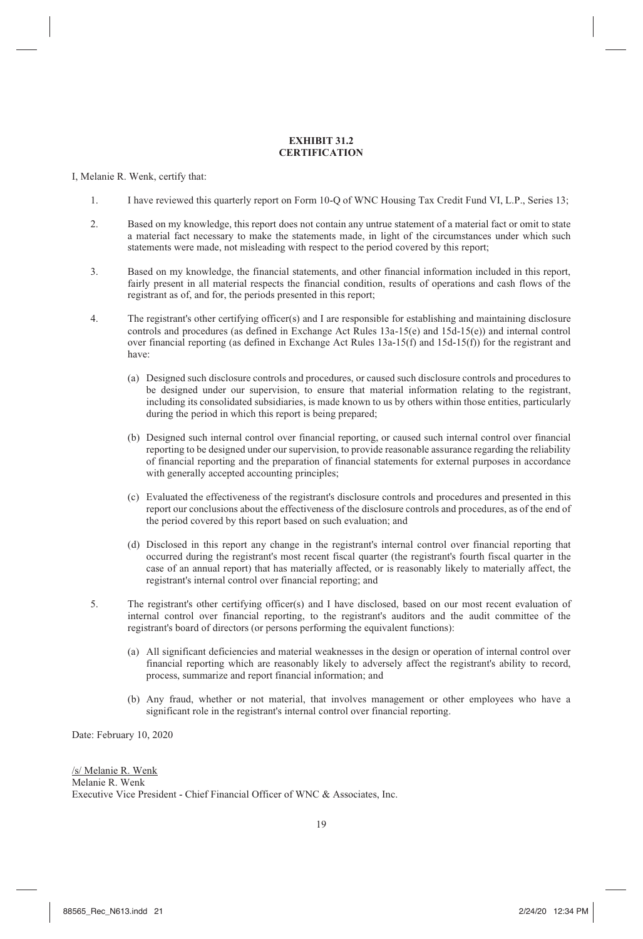#### **EXHIBIT 31.2 CERTIFICATION**

I, Melanie R. Wenk, certify that:

- 1. I have reviewed this quarterly report on Form 10-Q of WNC Housing Tax Credit Fund VI, L.P., Series 13;
- 2. Based on my knowledge, this report does not contain any untrue statement of a material fact or omit to state a material fact necessary to make the statements made, in light of the circumstances under which such statements were made, not misleading with respect to the period covered by this report;
- 3. Based on my knowledge, the financial statements, and other financial information included in this report, fairly present in all material respects the financial condition, results of operations and cash flows of the registrant as of, and for, the periods presented in this report;
- 4. The registrant's other certifying officer(s) and I are responsible for establishing and maintaining disclosure controls and procedures (as defined in Exchange Act Rules 13a-15(e) and 15d-15(e)) and internal control over financial reporting (as defined in Exchange Act Rules 13a-15(f) and 15d-15(f)) for the registrant and have:
	- (a) Designed such disclosure controls and procedures, or caused such disclosure controls and procedures to be designed under our supervision, to ensure that material information relating to the registrant, including its consolidated subsidiaries, is made known to us by others within those entities, particularly during the period in which this report is being prepared;
	- (b) Designed such internal control over financial reporting, or caused such internal control over financial reporting to be designed under our supervision, to provide reasonable assurance regarding the reliability of financial reporting and the preparation of financial statements for external purposes in accordance with generally accepted accounting principles;
	- (c) Evaluated the effectiveness of the registrant's disclosure controls and procedures and presented in this report our conclusions about the effectiveness of the disclosure controls and procedures, as of the end of the period covered by this report based on such evaluation; and
	- (d) Disclosed in this report any change in the registrant's internal control over financial reporting that occurred during the registrant's most recent fiscal quarter (the registrant's fourth fiscal quarter in the case of an annual report) that has materially affected, or is reasonably likely to materially affect, the registrant's internal control over financial reporting; and
- 5. The registrant's other certifying officer(s) and I have disclosed, based on our most recent evaluation of internal control over financial reporting, to the registrant's auditors and the audit committee of the registrant's board of directors (or persons performing the equivalent functions):
	- (a) All significant deficiencies and material weaknesses in the design or operation of internal control over financial reporting which are reasonably likely to adversely affect the registrant's ability to record, process, summarize and report financial information; and
	- (b) Any fraud, whether or not material, that involves management or other employees who have a significant role in the registrant's internal control over financial reporting.

Date: February 10, 2020

/s/ Melanie R. Wenk Melanie R. Wenk Executive Vice President - Chief Financial Officer of WNC & Associates, Inc.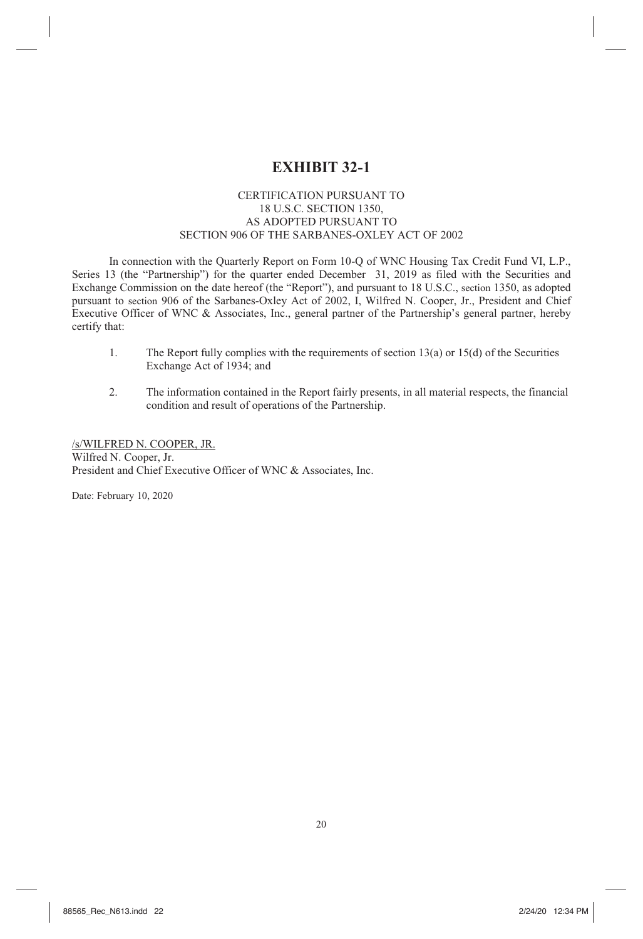# **EXHIBIT 32-1**

# CERTIFICATION PURSUANT TO 18 U.S.C. SECTION 1350, AS ADOPTED PURSUANT TO SECTION 906 OF THE SARBANES-OXLEY ACT OF 2002

In connection with the Quarterly Report on Form 10-Q of WNC Housing Tax Credit Fund VI, L.P., Series 13 (the "Partnership") for the quarter ended December 31, 2019 as filed with the Securities and Exchange Commission on the date hereof (the "Report"), and pursuant to 18 U.S.C., section 1350, as adopted pursuant to section 906 of the Sarbanes-Oxley Act of 2002, I, Wilfred N. Cooper, Jr., President and Chief Executive Officer of WNC & Associates, Inc., general partner of the Partnership's general partner, hereby certify that:

- 1. The Report fully complies with the requirements of section 13(a) or 15(d) of the Securities Exchange Act of 1934; and
- 2. The information contained in the Report fairly presents, in all material respects, the financial condition and result of operations of the Partnership.

/s/WILFRED N. COOPER, JR. Wilfred N. Cooper, Jr. President and Chief Executive Officer of WNC & Associates, Inc.

Date: February 10, 2020